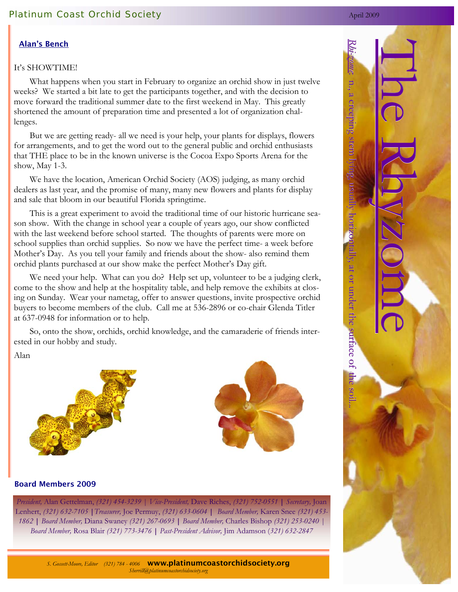## Alan's Bench

### It's SHOWTIME!

 What happens when you start in February to organize an orchid show in just twelve weeks? We started a bit late to get the participants together, and with the decision to move forward the traditional summer date to the first weekend in May. This greatly shortened the amount of preparation time and presented a lot of organization challenges.

 But we are getting ready- all we need is your help, your plants for displays, flowers for arrangements, and to get the word out to the general public and orchid enthusiasts that THE place to be in the known universe is the Cocoa Expo Sports Arena for the show, May 1-3.

 We have the location, American Orchid Society (AOS) judging, as many orchid dealers as last year, and the promise of many, many new flowers and plants for display and sale that bloom in our beautiful Florida springtime.

 This is a great experiment to avoid the traditional time of our historic hurricane season show. With the change in school year a couple of years ago, our show conflicted with the last weekend before school started. The thoughts of parents were more on school supplies than orchid supplies. So now we have the perfect time- a week before Mother's Day. As you tell your family and friends about the show- also remind them orchid plants purchased at our show make the perfect Mother's Day gift.

We need your help. What can you do? Help set up, volunteer to be a judging clerk, come to the show and help at the hospitality table, and help remove the exhibits at closing on Sunday. Wear your nametag, offer to answer questions, invite prospective orchid buyers to become members of the club. Call me at 536-2896 or co-chair Glenda Titler at 637-0948 for information or to help.

 So, onto the show, orchids, orchid knowledge, and the camaraderie of friends interested in our hobby and study.

### Alan





#### Board Members 2009

*President,* Alan Gettelman, *(321) 454-3239 | Vice-President,* Dave Riches, *(321) 752-0551* **|** *Secretary,* Joan Lenhert, *(321) 632-7105* **|***Treasurer,* Joe Permuy, *(321) 633-0604* **|** *Board Member,* Karen Snee *(321) 453- 1862* **|** *Board Member,* Diana Swaney *(321) 267-0693* **|** *Board Member,* Charles Bishop *(321) 253-0240 | Board Member,* Rosa Blair *(321) 773-3476* **|** *Past-President Advisor,* Jim Adamson (*321) 632-2847* 





*S. Gossett-Moore, Editor (321) 784 - 4006* www.platinumcoastorchidsociety.org*Sherrill@platinumcoastorchidsociety.org*